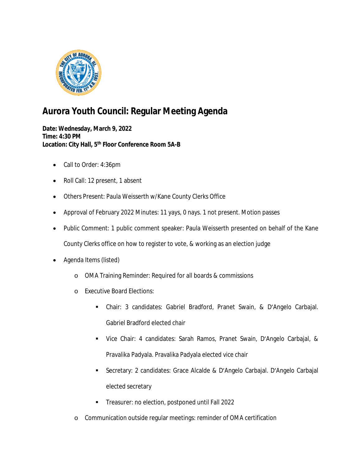

## **Aurora Youth Council: Regular Meeting Agenda**

**Date: Wednesday, March 9, 2022 Time: 4:30 PM Location: City Hall, 5th Floor Conference Room 5A-B**

- Call to Order: 4:36pm
- Roll Call: 12 present, 1 absent
- Others Present: Paula Weisserth w/Kane County Clerks Office
- Approval of February 2022 Minutes: 11 yays, 0 nays. 1 not present. Motion passes
- Public Comment: 1 public comment speaker: Paula Weisserth presented on behalf of the Kane County Clerks office on how to register to vote, & working as an election judge
- Agenda Items (listed)
	- o OMA Training Reminder: Required for all boards & commissions
	- o Executive Board Elections:
		- Chair: 3 candidates: Gabriel Bradford, Pranet Swain, & D'Angelo Carbajal. Gabriel Bradford elected chair
		- Vice Chair: 4 candidates: Sarah Ramos, Pranet Swain, D'Angelo Carbajal, & Pravalika Padyala. Pravalika Padyala elected vice chair
		- Secretary: 2 candidates: Grace Alcalde & D'Angelo Carbajal. D'Angelo Carbajal elected secretary
		- **Treasurer: no election, postponed until Fall 2022**
	- o Communication outside regular meetings: reminder of OMA certification